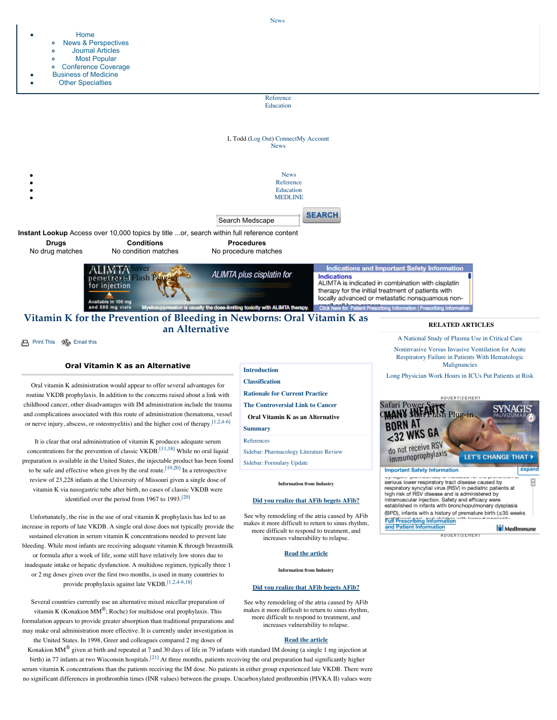

**[Print This](javascript:;)**  $\Rightarrow$  [Email this](javascript:void(0))

[Home](http://www.medscape.com/medscapetoday)

# **Oral Vitamin K as an Alternative**

Oral vitamin K administration would appear to offer several advantages for routine VKDB prophylaxis. In addition to the concerns raised about a link with childhood cancer, other disadvantages with IM administration include the trauma and complications associated with this route of administration (hematoma, vessel or nerve injury, abscess, or osteomyelitis) and the higher cost of therapy.[\[1,2,4-6\]](javascript:newshowcontent()

It is clear that oral administration of vitamin K produces adequate serum concentrations for the prevention of classic VKDB.<sup>[11,18]</sup> While no oral liquid preparation is available in the United States, the injectable product has been found to be safe and effective when given by the oral route.[\[19,20\]](javascript:newshowcontent() In a retrospective review of 23,228 infants at the University of Missouri given a single dose of vitamin K via nasogastric tube after birth, no cases of classic VKDB were identified over the period from 1967 to 1993.<sup>[\[20\]](javascript:newshowcontent()</sup>

Unfortunately, the rise in the use of oral vitamin K prophylaxis has led to an increase in reports of late VKDB. A single oral dose does not typically provide the sustained elevation in serum vitamin K concentrations needed to prevent late bleeding. While most infants are receiving adequate vitamin K through breastmilk or formula after a week of life, some still have relatively low stores due to inadequate intake or hepatic dysfunction. A multidose regimen, typically three 1 or 2 mg doses given over the first two months, is used in many countries to provide prophylaxis against late VKDB.[\[1,2,4-6,18\]](javascript:newshowcontent()

Several countries currently use an alternative mixed micellar preparation of vitamin K (Konakion  $MM^{\circledR}$ ; Roche) for multidose oral prophylaxis. This formulation appears to provide greater absorption than traditional preparations and may make oral administration more effective. It is currently under investigation in the United States. In 1998, Greer and colleagues compared 2 mg doses of

Konakion MM<sup>®</sup> given at birth and repeated at 7 and 30 days of life in 79 infants with standard IM dosing (a single 1 mg injection at birth) in 77 infants at two Wisconsin hospitals.<sup>[21]</sup> At three months, patients receiving the oral preparation had significantly higher serum vitamin K concentrations than the patients receiving the IM dose. No patients in either group experienced late VKDB. There were no significant differences in prothrombin times (INR values) between the groups. Uncarboxylated prothrombin (PIVKA II) values were

# **[Introduction](http://www.medscape.com/viewarticle/418329) [Classification](http://www.medscape.com/viewarticle/418329_2) [Rationale for Current Practice](http://www.medscape.com/viewarticle/418329_3) [The Controversial Link to Cancer](http://www.medscape.com/viewarticle/418329_4) Oral Vitamin K as an Alternative [Summary](http://www.medscape.com/viewarticle/418329_6)** [References](javascript:newshowcontent()

[Sidebar: Pharmacology Literature Review](http://www.medscape.com/viewarticle/418329_sidebar1) [Sidebar: Formulary Update](http://www.medscape.com/viewarticle/418329_sidebar2)

**Information from Industry**

## **[Did you realize that AFib begets AFib?](http://as.webmd.com/event.ng/Type=click&FlightID=313783&AdID=551942&TargetID=85540&Values=25,34,46,51,61,73,80,90,102,145,150,192,205,208,222,229,234,236,249,302,306,308,309,425,662,1469,1963,2019,2183,3173,3175,3183,3184,3185,3186,3187,3219,3220,3417,3435,3438,3443,6838,7180,11474,13858,14127,14128,14130,15191,15902,17343,20184,20340,20448,20835,24347,24472,25586,26465,26513,26710,26790,27361,27446,27766,28074&Redirect=http://www.medscape.com/infosite/atrial-fibrillation/article-1?src=ad_txt)**

See why remodeling of the atria caused by AFib makes it more difficult to return to sinus rhythm, more difficult to respond to treatment, and increases vulnerability to relapse.

#### **[Read the article](http://as.webmd.com/event.ng/Type=click&FlightID=313783&AdID=551942&TargetID=85540&Values=25,34,46,51,61,73,80,90,102,145,150,192,205,208,222,229,234,236,249,302,306,308,309,425,662,1469,1963,2019,2183,3173,3175,3183,3184,3185,3186,3187,3219,3220,3417,3435,3438,3443,6838,7180,11474,13858,14127,14128,14130,15191,15902,17343,20184,20340,20448,20835,24347,24472,25586,26465,26513,26710,26790,27361,27446,27766,28074&Redirect=http://www.medscape.com/infosite/atrial-fibrillation/article-1?src=ad_txt)**

**Information from Industry**

#### **[Did you realize that AFib begets AFib?](http://as.webmd.com/event.ng/Type=click&FlightID=313783&AdID=551942&TargetID=85540&Values=25,34,46,51,61,73,80,90,102,145,150,192,205,208,222,229,234,236,249,302,306,308,309,425,662,1469,1963,2019,2183,3173,3175,3183,3184,3185,3186,3187,3219,3220,3417,3435,3438,3443,6838,7180,11474,13858,14127,14128,14130,15191,15902,17343,20184,20340,20448,20835,24347,24472,25586,26465,26513,26710,26790,27361,27446,27766,28074&Redirect=http://www.medscape.com/infosite/atrial-fibrillation/article-1?src=ad_txt)**

See why remodeling of the atria caused by AFib makes it more difficult to return to sinus rhythm, more difficult to respond to treatment, and increases vulnerability to relapse.

#### **[Read the article](http://as.webmd.com/event.ng/Type=click&FlightID=313783&AdID=551942&TargetID=85540&Values=25,34,46,51,61,73,80,90,102,145,150,192,205,208,222,229,234,236,249,302,306,308,309,425,662,1469,1963,2019,2183,3173,3175,3183,3184,3185,3186,3187,3219,3220,3417,3435,3438,3443,6838,7180,11474,13858,14127,14128,14130,15191,15902,17343,20184,20340,20448,20835,24347,24472,25586,26465,26513,26710,26790,27361,27446,27766,28074&Redirect=http://www.medscape.com/infosite/atrial-fibrillation/article-1?src=ad_txt)**

[A National Study of Plasma Use in Critical Care](http://www.medscape.com/viewarticle/742991)

[Noninvasive Versus Invasive Ventilation for Acute](http://www.medscape.com/viewarticle/750574) Respiratory Failure in Patients With Hematologic Malignancies

[Long Physician Work Hours in ICUs Put Patients at Risk](http://www.medscape.com/viewarticle/736182)

## **ADUERTISEMENT**



serious lower respiratory tract disease caused by respiratory syncytial virus (RSV) in pediatric patients at high risk of RSV disease and is administered by intramuscular injection. Safety and efficacy were established in infants with bronchopulmonary dysplasia (BPD), infants with a history of premature birth (≤35 weeks Full Prescribing Information and Patient Information

ADVERTISEMENT

MedImmune

[News](javascript:togglesearchdb()